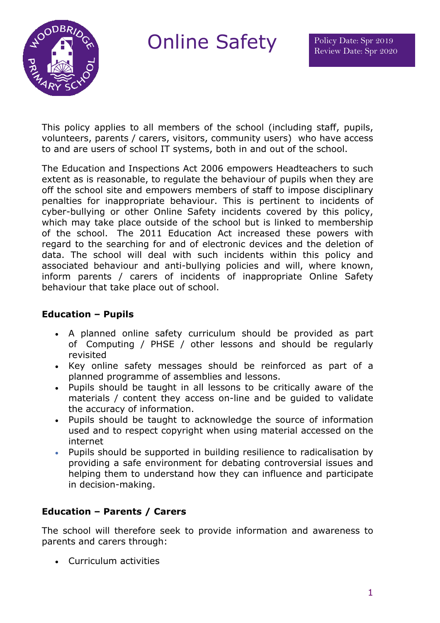

Online Safety Policy Date: Spr 2019

This policy applies to all members of the school (including staff, pupils, volunteers, parents / carers, visitors, community users) who have access to and are users of school IT systems, both in and out of the school.

The Education and Inspections Act 2006 empowers Headteachers to such extent as is reasonable, to regulate the behaviour of pupils when they are off the school site and empowers members of staff to impose disciplinary penalties for inappropriate behaviour. This is pertinent to incidents of cyber-bullying or other Online Safety incidents covered by this policy, which may take place outside of the school but is linked to membership of the school. The 2011 Education Act increased these powers with regard to the searching for and of electronic devices and the deletion of data. The school will deal with such incidents within this policy and associated behaviour and anti-bullying policies and will, where known, inform parents / carers of incidents of inappropriate Online Safety behaviour that take place out of school.

### **Education – Pupils**

- A planned online safety curriculum should be provided as part of Computing / PHSE / other lessons and should be regularly revisited
- Key online safety messages should be reinforced as part of a planned programme of assemblies and lessons.
- Pupils should be taught in all lessons to be critically aware of the materials / content they access on-line and be guided to validate the accuracy of information.
- Pupils should be taught to acknowledge the source of information used and to respect copyright when using material accessed on the internet
- Pupils should be supported in building resilience to radicalisation by providing a safe environment for debating controversial issues and helping them to understand how they can influence and participate in decision-making.

# **Education – Parents / Carers**

The school will therefore seek to provide information and awareness to parents and carers through:

• Curriculum activities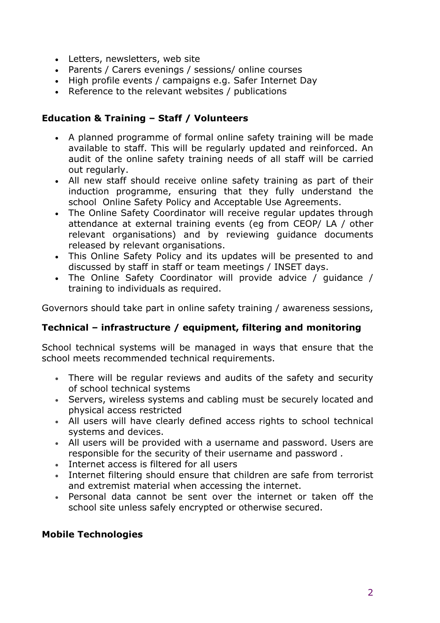- Letters, newsletters, web site
- Parents / Carers evenings / sessions/ online courses
- High profile events / campaigns e.g. Safer Internet Day
- Reference to the relevant websites / publications

### **Education & Training – Staff / Volunteers**

- A planned programme of formal online safety training will be made available to staff. This will be regularly updated and reinforced. An audit of the online safety training needs of all staff will be carried out regularly.
- All new staff should receive online safety training as part of their induction programme, ensuring that they fully understand the school Online Safety Policy and Acceptable Use Agreements.
- The Online Safety Coordinator will receive regular updates through attendance at external training events (eg from CEOP/ LA / other relevant organisations) and by reviewing guidance documents released by relevant organisations.
- This Online Safety Policy and its updates will be presented to and discussed by staff in staff or team meetings / INSET days.
- The Online Safety Coordinator will provide advice / guidance / training to individuals as required.

Governors should take part in online safety training / awareness sessions,

#### **Technical – infrastructure / equipment, filtering and monitoring**

School technical systems will be managed in ways that ensure that the school meets recommended technical requirements.

- There will be regular reviews and audits of the safety and security of school technical systems
- Servers, wireless systems and cabling must be securely located and physical access restricted
- All users will have clearly defined access rights to school technical systems and devices.
- All users will be provided with a username and password. Users are responsible for the security of their username and password *.*
- Internet access is filtered for all users
- Internet filtering should ensure that children are safe from terrorist and extremist material when accessing the internet.
- Personal data cannot be sent over the internet or taken off the school site unless safely encrypted or otherwise secured.

#### **Mobile Technologies**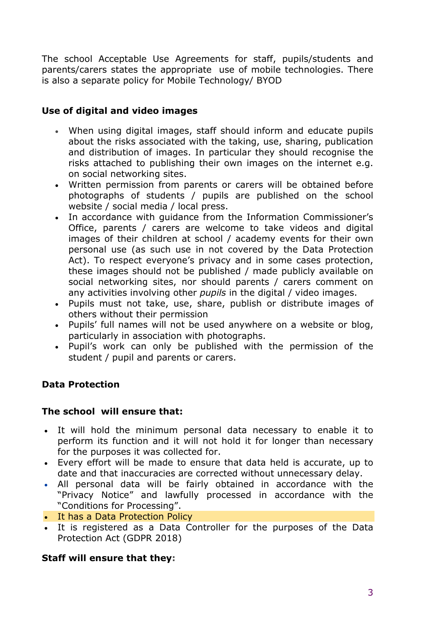The school Acceptable Use Agreements for staff, pupils/students and parents/carers states the appropriate use of mobile technologies. There is also a separate policy for Mobile Technology/ BYOD

### **Use of digital and video images**

- When using digital images, staff should inform and educate pupils about the risks associated with the taking, use, sharing, publication and distribution of images. In particular they should recognise the risks attached to publishing their own images on the internet e.g. on social networking sites.
- Written permission from parents or carers will be obtained before photographs of students / pupils are published on the school website / social media / local press.
- In accordance with guidance from the Information Commissioner's Office, parents / carers are welcome to take videos and digital images of their children at school / academy events for their own personal use (as such use in not covered by the Data Protection Act). To respect everyone's privacy and in some cases protection, these images should not be published / made publicly available on social networking sites, nor should parents / carers comment on any activities involving other *pupils* in the digital / video images.
- Pupils must not take, use, share, publish or distribute images of others without their permission
- Pupils' full names will not be used anywhere on a website or blog, particularly in association with photographs.
- Pupil's work can only be published with the permission of the student / pupil and parents or carers.

# **Data Protection**

#### **The school will ensure that:**

- It will hold the minimum personal data necessary to enable it to perform its function and it will not hold it for longer than necessary for the purposes it was collected for.
- Every effort will be made to ensure that data held is accurate, up to date and that inaccuracies are corrected without unnecessary delay.
- All personal data will be fairly obtained in accordance with the "Privacy Notice" and lawfully processed in accordance with the "Conditions for Processing".
- It has a Data Protection Policy
- It is registered as a Data Controller for the purposes of the Data Protection Act (GDPR 2018)

#### **Staff will ensure that they:**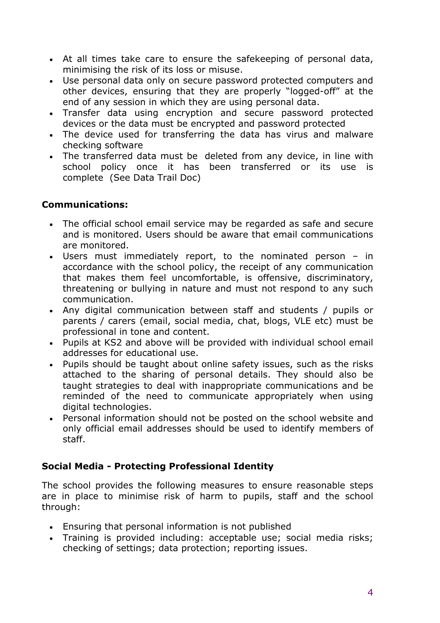- At all times take care to ensure the safekeeping of personal data, minimising the risk of its loss or misuse.
- Use personal data only on secure password protected computers and other devices, ensuring that they are properly "logged-off" at the end of any session in which they are using personal data.
- Transfer data using encryption and secure password protected devices or the data must be encrypted and password protected
- The device used for transferring the data has virus and malware checking software
- The transferred data must be deleted from any device, in line with school policy once it has been transferred or its use is complete (See Data Trail Doc)

# **Communications:**

- The official school email service may be regarded as safe and secure and is monitored. Users should be aware that email communications are monitored.
- Users must immediately report, to the nominated person in accordance with the school policy, the receipt of any communication that makes them feel uncomfortable, is offensive, discriminatory, threatening or bullying in nature and must not respond to any such communication.
- Any digital communication between staff and students / pupils or parents / carers (email, social media, chat, blogs, VLE etc) must be professional in tone and content.
- Pupils at KS2 and above will be provided with individual school email addresses for educational use.
- Pupils should be taught about online safety issues, such as the risks attached to the sharing of personal details. They should also be taught strategies to deal with inappropriate communications and be reminded of the need to communicate appropriately when using digital technologies.
- Personal information should not be posted on the school website and only official email addresses should be used to identify members of staff.

# **Social Media - Protecting Professional Identity**

The school provides the following measures to ensure reasonable steps are in place to minimise risk of harm to pupils, staff and the school through:

- Ensuring that personal information is not published
- Training is provided including: acceptable use; social media risks; checking of settings; data protection; reporting issues.